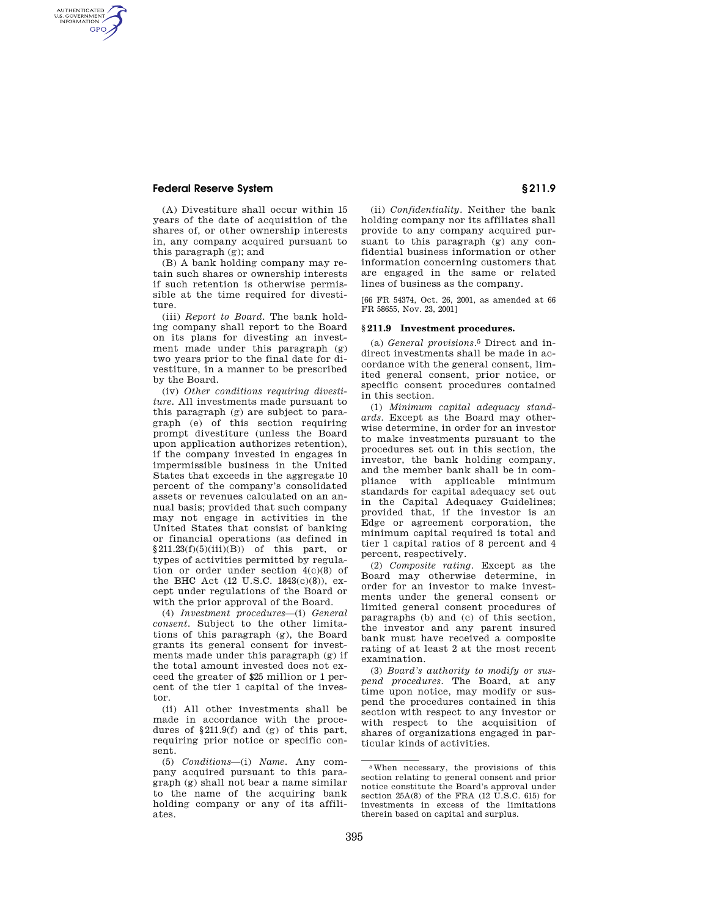## **Federal Reserve System § 211.9**

AUTHENTICATED<br>U.S. GOVERNMENT<br>INFORMATION **GPO** 

> (A) Divestiture shall occur within 15 years of the date of acquisition of the shares of, or other ownership interests in, any company acquired pursuant to this paragraph (g); and

> (B) A bank holding company may retain such shares or ownership interests if such retention is otherwise permissible at the time required for divestiture.

> (iii) *Report to Board.* The bank holding company shall report to the Board on its plans for divesting an investment made under this paragraph (g) two years prior to the final date for divestiture, in a manner to be prescribed by the Board.

(iv) *Other conditions requiring divestiture.* All investments made pursuant to this paragraph (g) are subject to paragraph (e) of this section requiring prompt divestiture (unless the Board upon application authorizes retention), if the company invested in engages in impermissible business in the United States that exceeds in the aggregate 10 percent of the company's consolidated assets or revenues calculated on an annual basis; provided that such company may not engage in activities in the United States that consist of banking or financial operations (as defined in  $§211.23(f)(5)(iii)(B))$  of this part, or types of activities permitted by regulation or order under section 4(c)(8) of the BHC Act (12 U.S.C. 1843(c)(8)), except under regulations of the Board or with the prior approval of the Board.

(4) *Investment procedures*—(i) *General consent.* Subject to the other limitations of this paragraph (g), the Board grants its general consent for investments made under this paragraph (g) if the total amount invested does not exceed the greater of \$25 million or 1 percent of the tier 1 capital of the investor.

(ii) All other investments shall be made in accordance with the procedures of §211.9(f) and (g) of this part, requiring prior notice or specific consent.

(5) *Conditions*—(i) *Name.* Any company acquired pursuant to this paragraph (g) shall not bear a name similar to the name of the acquiring bank holding company or any of its affiliates.

(ii) *Confidentiality.* Neither the bank holding company nor its affiliates shall provide to any company acquired pursuant to this paragraph (g) any confidential business information or other information concerning customers that are engaged in the same or related lines of business as the company.

[66 FR 54374, Oct. 26, 2001, as amended at 66 FR 58655, Nov. 23, 2001]

## **§ 211.9 Investment procedures.**

(a) *General provisions.*5 Direct and indirect investments shall be made in accordance with the general consent, limited general consent, prior notice, or specific consent procedures contained in this section.

(1) *Minimum capital adequacy standards.* Except as the Board may otherwise determine, in order for an investor to make investments pursuant to the procedures set out in this section, the investor, the bank holding company, and the member bank shall be in compliance with applicable minimum standards for capital adequacy set out in the Capital Adequacy Guidelines; provided that, if the investor is an Edge or agreement corporation, the minimum capital required is total and tier 1 capital ratios of 8 percent and 4 percent, respectively.

(2) *Composite rating.* Except as the Board may otherwise determine, in order for an investor to make investments under the general consent or limited general consent procedures of paragraphs (b) and (c) of this section, the investor and any parent insured bank must have received a composite rating of at least 2 at the most recent examination.

(3) *Board's authority to modify or suspend procedures.* The Board, at any time upon notice, may modify or suspend the procedures contained in this section with respect to any investor or with respect to the acquisition of shares of organizations engaged in particular kinds of activities.

<sup>5</sup>When necessary, the provisions of this section relating to general consent and prior notice constitute the Board's approval under section 25A(8) of the FRA (12 U.S.C. 615) for investments in excess of the limitations therein based on capital and surplus.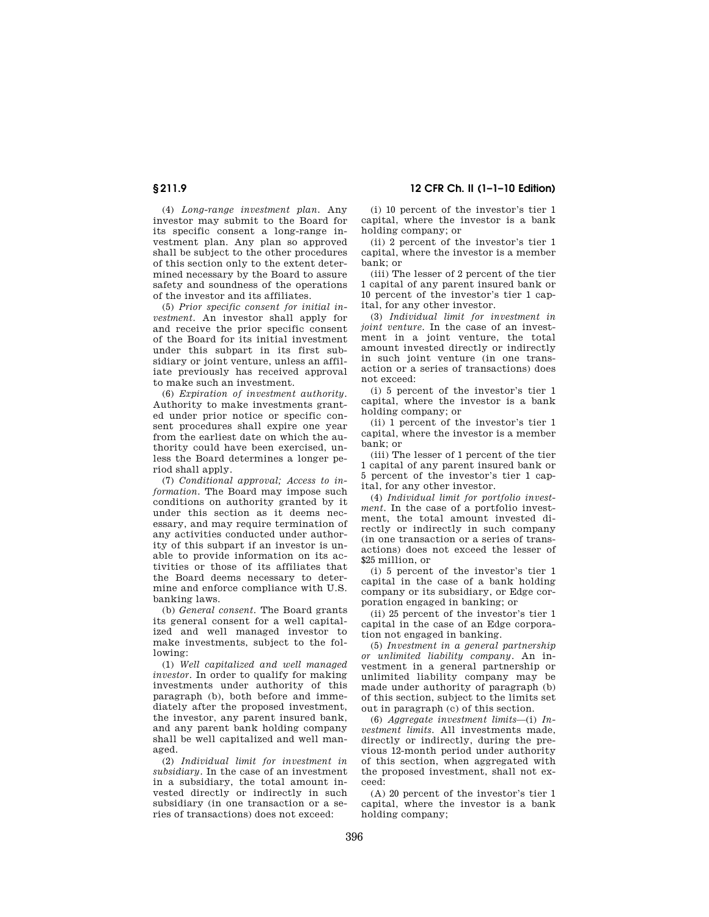**§ 211.9 12 CFR Ch. II (1–1–10 Edition)** 

(4) *Long-range investment plan.* Any investor may submit to the Board for its specific consent a long-range investment plan. Any plan so approved shall be subject to the other procedures of this section only to the extent determined necessary by the Board to assure safety and soundness of the operations of the investor and its affiliates.

(5) *Prior specific consent for initial investment.* An investor shall apply for and receive the prior specific consent of the Board for its initial investment under this subpart in its first subsidiary or joint venture, unless an affiliate previously has received approval to make such an investment.

(6) *Expiration of investment authority.*  Authority to make investments granted under prior notice or specific consent procedures shall expire one year from the earliest date on which the authority could have been exercised, unless the Board determines a longer period shall apply.

(7) *Conditional approval; Access to information.* The Board may impose such conditions on authority granted by it under this section as it deems necessary, and may require termination of any activities conducted under authority of this subpart if an investor is unable to provide information on its activities or those of its affiliates that the Board deems necessary to determine and enforce compliance with U.S. banking laws.

(b) *General consent.* The Board grants its general consent for a well capitalized and well managed investor to make investments, subject to the following:

(1) *Well capitalized and well managed investor.* In order to qualify for making investments under authority of this paragraph (b), both before and immediately after the proposed investment, the investor, any parent insured bank, and any parent bank holding company shall be well capitalized and well managed.

(2) *Individual limit for investment in subsidiary.* In the case of an investment in a subsidiary, the total amount invested directly or indirectly in such subsidiary (in one transaction or a series of transactions) does not exceed:

(i) 10 percent of the investor's tier 1 capital, where the investor is a bank holding company; or

(ii) 2 percent of the investor's tier 1 capital, where the investor is a member bank; or

(iii) The lesser of 2 percent of the tier 1 capital of any parent insured bank or 10 percent of the investor's tier 1 capital, for any other investor.

(3) *Individual limit for investment in joint venture.* In the case of an investment in a joint venture, the total amount invested directly or indirectly in such joint venture (in one transaction or a series of transactions) does not exceed:

(i) 5 percent of the investor's tier 1 capital, where the investor is a bank holding company; or

(ii) 1 percent of the investor's tier 1 capital, where the investor is a member bank; or

(iii) The lesser of 1 percent of the tier 1 capital of any parent insured bank or 5 percent of the investor's tier 1 capital, for any other investor.

(4) *Individual limit for portfolio investment.* In the case of a portfolio investment, the total amount invested directly or indirectly in such company (in one transaction or a series of transactions) does not exceed the lesser of \$25 million, or

(i) 5 percent of the investor's tier 1 capital in the case of a bank holding company or its subsidiary, or Edge corporation engaged in banking; or

(ii) 25 percent of the investor's tier 1 capital in the case of an Edge corporation not engaged in banking.

(5) *Investment in a general partnership or unlimited liability company.* An investment in a general partnership or unlimited liability company may be made under authority of paragraph (b) of this section, subject to the limits set out in paragraph (c) of this section.

(6) *Aggregate investment limits*—(i) *Investment limits.* All investments made, directly or indirectly, during the previous 12-month period under authority of this section, when aggregated with the proposed investment, shall not exceed:

(A) 20 percent of the investor's tier 1 capital, where the investor is a bank holding company;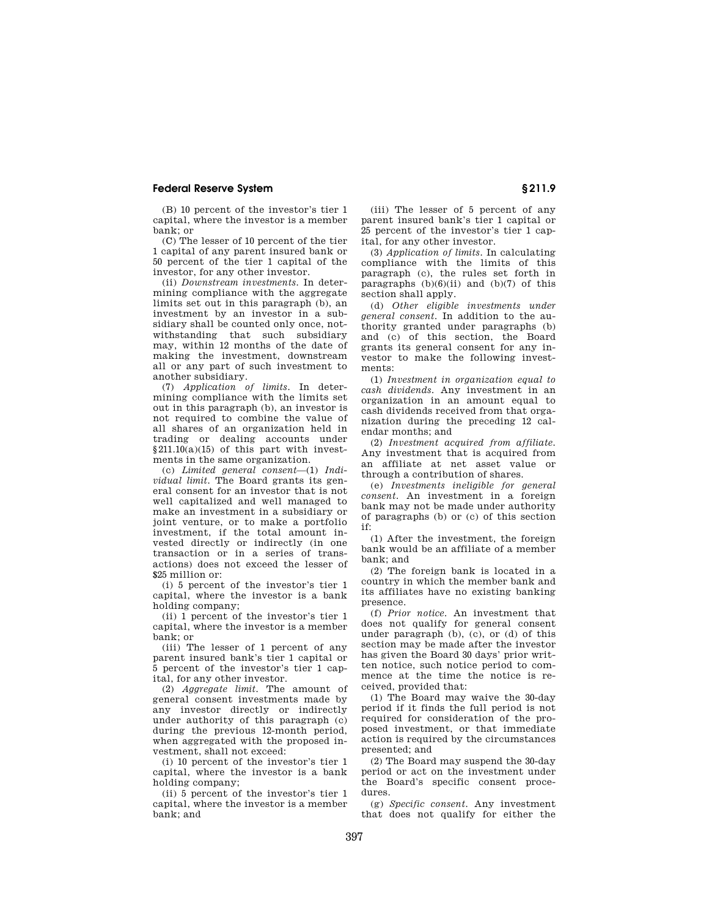## **Federal Reserve System § 211.9**

(B) 10 percent of the investor's tier 1 capital, where the investor is a member bank; or

(C) The lesser of 10 percent of the tier 1 capital of any parent insured bank or 50 percent of the tier 1 capital of the investor, for any other investor.

(ii) *Downstream investments.* In determining compliance with the aggregate limits set out in this paragraph (b), an investment by an investor in a subsidiary shall be counted only once, notwithstanding that such subsidiary may, within 12 months of the date of making the investment, downstream all or any part of such investment to another subsidiary.

(7) *Application of limits.* In determining compliance with the limits set out in this paragraph (b), an investor is not required to combine the value of all shares of an organization held in trading or dealing accounts under  $§211.10(a)(15)$  of this part with investments in the same organization.

(c) *Limited general consent*—(1) *Individual limit.* The Board grants its general consent for an investor that is not well capitalized and well managed to make an investment in a subsidiary or joint venture, or to make a portfolio investment, if the total amount invested directly or indirectly (in one transaction or in a series of transactions) does not exceed the lesser of \$25 million or:

(i) 5 percent of the investor's tier 1 capital, where the investor is a bank holding company;

(ii) 1 percent of the investor's tier 1 capital, where the investor is a member bank; or

(iii) The lesser of 1 percent of any parent insured bank's tier 1 capital or 5 percent of the investor's tier 1 capital, for any other investor.

(2) *Aggregate limit.* The amount of general consent investments made by any investor directly or indirectly under authority of this paragraph (c) during the previous 12-month period, when aggregated with the proposed investment, shall not exceed:

(i) 10 percent of the investor's tier 1 capital, where the investor is a bank holding company;

(ii) 5 percent of the investor's tier 1 capital, where the investor is a member bank; and

(iii) The lesser of 5 percent of any parent insured bank's tier 1 capital or 25 percent of the investor's tier 1 capital, for any other investor.

(3) *Application of limits.* In calculating compliance with the limits of this paragraph (c), the rules set forth in paragraphs  $(b)(6)(ii)$  and  $(b)(7)$  of this section shall apply.

(d) *Other eligible investments under general consent.* In addition to the authority granted under paragraphs (b) and (c) of this section, the Board grants its general consent for any investor to make the following investments:

(1) *Investment in organization equal to cash dividends.* Any investment in an organization in an amount equal to cash dividends received from that organization during the preceding 12 calendar months; and

(2) *Investment acquired from affiliate.*  Any investment that is acquired from an affiliate at net asset value or through a contribution of shares.

(e) *Investments ineligible for general consent.* An investment in a foreign bank may not be made under authority of paragraphs (b) or (c) of this section if:

(1) After the investment, the foreign bank would be an affiliate of a member bank; and

(2) The foreign bank is located in a country in which the member bank and its affiliates have no existing banking presence.

(f) *Prior notice.* An investment that does not qualify for general consent under paragraph  $(b)$ ,  $(c)$ , or  $(d)$  of this section may be made after the investor has given the Board 30 days' prior written notice, such notice period to commence at the time the notice is received, provided that:

(1) The Board may waive the 30-day period if it finds the full period is not required for consideration of the proposed investment, or that immediate action is required by the circumstances presented; and

(2) The Board may suspend the 30-day period or act on the investment under the Board's specific consent procedures.

(g) *Specific consent.* Any investment that does not qualify for either the